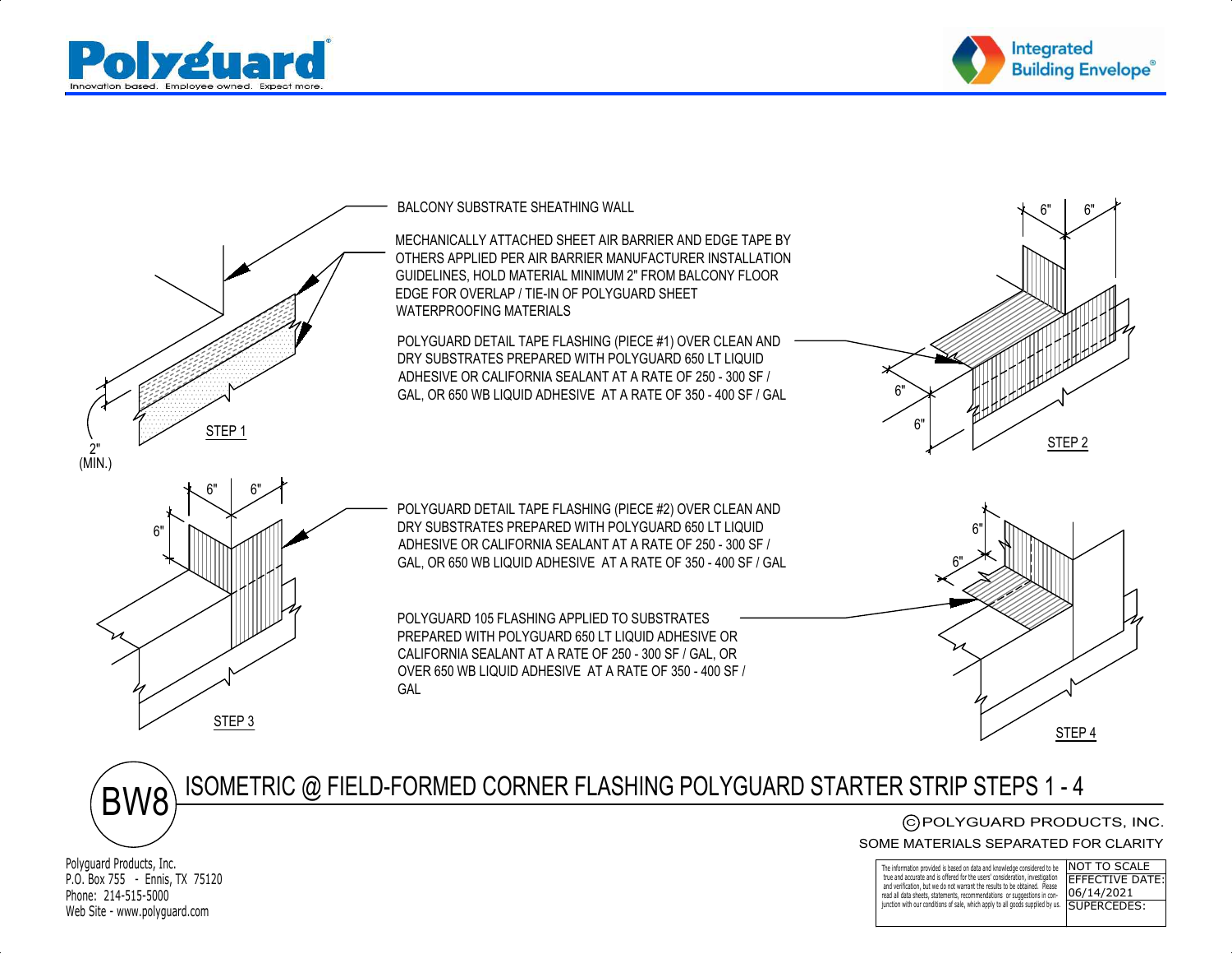





ISOMETRIC @ FIELD-FORMED CORNER FLASHING POLYGUARD STARTER STRIP STEPS 1 - 4BW8

CPOLYGUARD PRODUCTS, INC. C)POLYGUARD PRODUCTS, INC.<br>MATERIALS SEPARATED FOR CLARITY<br>————————————————————

SOME MATERIALS SEPARATED FOR CLARITY

| TX 75120 | $\blacksquare$ The information provided is based on data and knowledge considered to be $\blacksquare\textsf{NOT}$ TO SCALE<br>true and accurate and is offered for the users' consideration, investigation FEFECTIVE DATE:<br>and verification, but we do not warrant the results to be obtained. Please<br>read all data sheets, statements, recommendations or suggestions in con-<br>$06/14/2021$ |  |
|----------|-------------------------------------------------------------------------------------------------------------------------------------------------------------------------------------------------------------------------------------------------------------------------------------------------------------------------------------------------------------------------------------------------------|--|
| ard.com  | junction with our conditions of sale, which apply to all goods supplied by us. <b>SUPERCEDES:</b>                                                                                                                                                                                                                                                                                                     |  |

Polyguard Products, Inc.P.O. Box 755 - Ennis, TX 75120Phone: 214-515-5000Web Site - www.polyguard.com